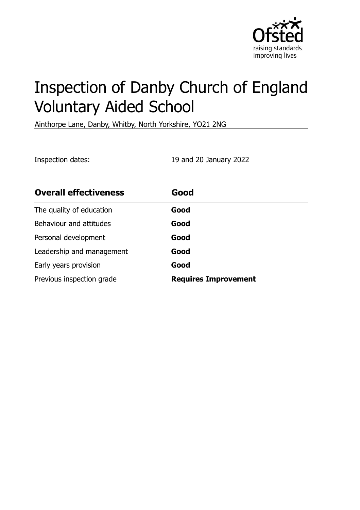

# Inspection of Danby Church of England Voluntary Aided School

Ainthorpe Lane, Danby, Whitby, North Yorkshire, YO21 2NG

Inspection dates: 19 and 20 January 2022

| <b>Overall effectiveness</b> | Good                        |
|------------------------------|-----------------------------|
| The quality of education     | Good                        |
| Behaviour and attitudes      | Good                        |
| Personal development         | Good                        |
| Leadership and management    | Good                        |
| Early years provision        | Good                        |
| Previous inspection grade    | <b>Requires Improvement</b> |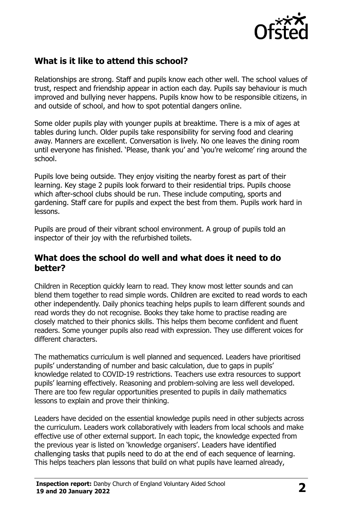

# **What is it like to attend this school?**

Relationships are strong. Staff and pupils know each other well. The school values of trust, respect and friendship appear in action each day. Pupils say behaviour is much improved and bullying never happens. Pupils know how to be responsible citizens, in and outside of school, and how to spot potential dangers online.

Some older pupils play with younger pupils at breaktime. There is a mix of ages at tables during lunch. Older pupils take responsibility for serving food and clearing away. Manners are excellent. Conversation is lively. No one leaves the dining room until everyone has finished. 'Please, thank you' and 'you're welcome' ring around the school.

Pupils love being outside. They enjoy visiting the nearby forest as part of their learning. Key stage 2 pupils look forward to their residential trips. Pupils choose which after-school clubs should be run. These include computing, sports and gardening. Staff care for pupils and expect the best from them. Pupils work hard in lessons.

Pupils are proud of their vibrant school environment. A group of pupils told an inspector of their joy with the refurbished toilets.

#### **What does the school do well and what does it need to do better?**

Children in Reception quickly learn to read. They know most letter sounds and can blend them together to read simple words. Children are excited to read words to each other independently. Daily phonics teaching helps pupils to learn different sounds and read words they do not recognise. Books they take home to practise reading are closely matched to their phonics skills. This helps them become confident and fluent readers. Some younger pupils also read with expression. They use different voices for different characters.

The mathematics curriculum is well planned and sequenced. Leaders have prioritised pupils' understanding of number and basic calculation, due to gaps in pupils' knowledge related to COVID-19 restrictions. Teachers use extra resources to support pupils' learning effectively. Reasoning and problem-solving are less well developed. There are too few regular opportunities presented to pupils in daily mathematics lessons to explain and prove their thinking.

Leaders have decided on the essential knowledge pupils need in other subjects across the curriculum. Leaders work collaboratively with leaders from local schools and make effective use of other external support. In each topic, the knowledge expected from the previous year is listed on 'knowledge organisers'. Leaders have identified challenging tasks that pupils need to do at the end of each sequence of learning. This helps teachers plan lessons that build on what pupils have learned already,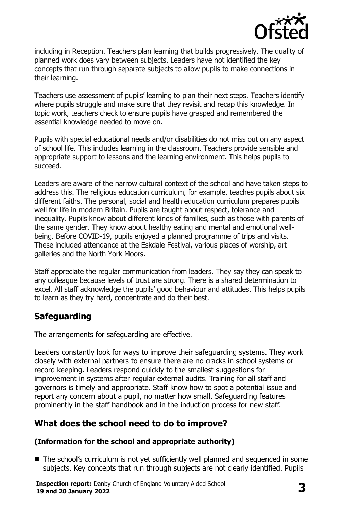

including in Reception. Teachers plan learning that builds progressively. The quality of planned work does vary between subjects. Leaders have not identified the key concepts that run through separate subjects to allow pupils to make connections in their learning.

Teachers use assessment of pupils' learning to plan their next steps. Teachers identify where pupils struggle and make sure that they revisit and recap this knowledge. In topic work, teachers check to ensure pupils have grasped and remembered the essential knowledge needed to move on.

Pupils with special educational needs and/or disabilities do not miss out on any aspect of school life. This includes learning in the classroom. Teachers provide sensible and appropriate support to lessons and the learning environment. This helps pupils to succeed.

Leaders are aware of the narrow cultural context of the school and have taken steps to address this. The religious education curriculum, for example, teaches pupils about six different faiths. The personal, social and health education curriculum prepares pupils well for life in modern Britain. Pupils are taught about respect, tolerance and inequality. Pupils know about different kinds of families, such as those with parents of the same gender. They know about healthy eating and mental and emotional wellbeing. Before COVID-19, pupils enjoyed a planned programme of trips and visits. These included attendance at the Eskdale Festival, various places of worship, art galleries and the North York Moors.

Staff appreciate the regular communication from leaders. They say they can speak to any colleague because levels of trust are strong. There is a shared determination to excel. All staff acknowledge the pupils' good behaviour and attitudes. This helps pupils to learn as they try hard, concentrate and do their best.

# **Safeguarding**

The arrangements for safeguarding are effective.

Leaders constantly look for ways to improve their safeguarding systems. They work closely with external partners to ensure there are no cracks in school systems or record keeping. Leaders respond quickly to the smallest suggestions for improvement in systems after regular external audits. Training for all staff and governors is timely and appropriate. Staff know how to spot a potential issue and report any concern about a pupil, no matter how small. Safeguarding features prominently in the staff handbook and in the induction process for new staff.

# **What does the school need to do to improve?**

#### **(Information for the school and appropriate authority)**

■ The school's curriculum is not yet sufficiently well planned and sequenced in some subjects. Key concepts that run through subjects are not clearly identified. Pupils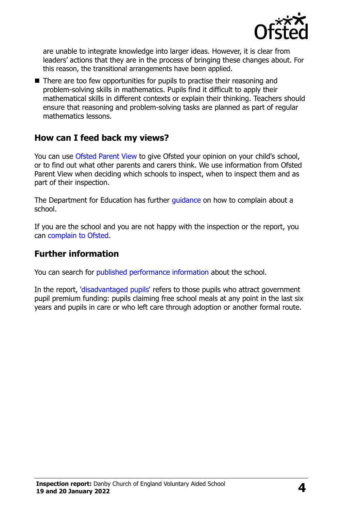

are unable to integrate knowledge into larger ideas. However, it is clear from leaders' actions that they are in the process of bringing these changes about. For this reason, the transitional arrangements have been applied.

■ There are too few opportunities for pupils to practise their reasoning and problem-solving skills in mathematics. Pupils find it difficult to apply their mathematical skills in different contexts or explain their thinking. Teachers should ensure that reasoning and problem-solving tasks are planned as part of regular mathematics lessons.

### **How can I feed back my views?**

You can use [Ofsted Parent View](http://parentview.ofsted.gov.uk/) to give Ofsted your opinion on your child's school, or to find out what other parents and carers think. We use information from Ofsted Parent View when deciding which schools to inspect, when to inspect them and as part of their inspection.

The Department for Education has further quidance on how to complain about a school.

If you are the school and you are not happy with the inspection or the report, you can [complain to Ofsted.](http://www.gov.uk/complain-ofsted-report)

#### **Further information**

You can search for [published performance information](http://www.compare-school-performance.service.gov.uk/) about the school.

In the report, ['disadvantaged pupils'](http://www.gov.uk/guidance/pupil-premium-information-for-schools-and-alternative-provision-settings) refers to those pupils who attract government pupil premium funding: pupils claiming free school meals at any point in the last six years and pupils in care or who left care through adoption or another formal route.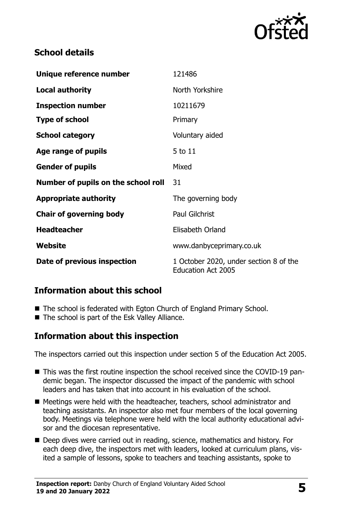

# **School details**

| Unique reference number             | 121486                                                              |
|-------------------------------------|---------------------------------------------------------------------|
| <b>Local authority</b>              | North Yorkshire                                                     |
| <b>Inspection number</b>            | 10211679                                                            |
| <b>Type of school</b>               | Primary                                                             |
| <b>School category</b>              | Voluntary aided                                                     |
| Age range of pupils                 | 5 to 11                                                             |
| <b>Gender of pupils</b>             | Mixed                                                               |
| Number of pupils on the school roll | 31                                                                  |
| <b>Appropriate authority</b>        | The governing body                                                  |
| <b>Chair of governing body</b>      | <b>Paul Gilchrist</b>                                               |
| <b>Headteacher</b>                  | Elisabeth Orland                                                    |
| Website                             | www.danbyceprimary.co.uk                                            |
| Date of previous inspection         | 1 October 2020, under section 8 of the<br><b>Education Act 2005</b> |

# **Information about this school**

- The school is federated with Egton Church of England Primary School.
- The school is part of the Esk Valley Alliance.

### **Information about this inspection**

The inspectors carried out this inspection under section 5 of the Education Act 2005.

- This was the first routine inspection the school received since the COVID-19 pandemic began. The inspector discussed the impact of the pandemic with school leaders and has taken that into account in his evaluation of the school.
- Meetings were held with the headteacher, teachers, school administrator and teaching assistants. An inspector also met four members of the local governing body. Meetings via telephone were held with the local authority educational advisor and the diocesan representative.
- Deep dives were carried out in reading, science, mathematics and history. For each deep dive, the inspectors met with leaders, looked at curriculum plans, visited a sample of lessons, spoke to teachers and teaching assistants, spoke to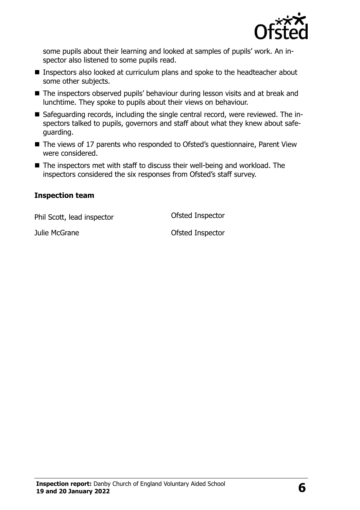

some pupils about their learning and looked at samples of pupils' work. An inspector also listened to some pupils read.

- Inspectors also looked at curriculum plans and spoke to the headteacher about some other subjects.
- The inspectors observed pupils' behaviour during lesson visits and at break and lunchtime. They spoke to pupils about their views on behaviour.
- Safeguarding records, including the single central record, were reviewed. The inspectors talked to pupils, governors and staff about what they knew about safeguarding.
- The views of 17 parents who responded to Ofsted's questionnaire, Parent View were considered.
- The inspectors met with staff to discuss their well-being and workload. The inspectors considered the six responses from Ofsted's staff survey.

#### **Inspection team**

Phil Scott, lead inspector **Ofsted Inspector** 

Julie McGrane **Calculation** Ofsted Inspector